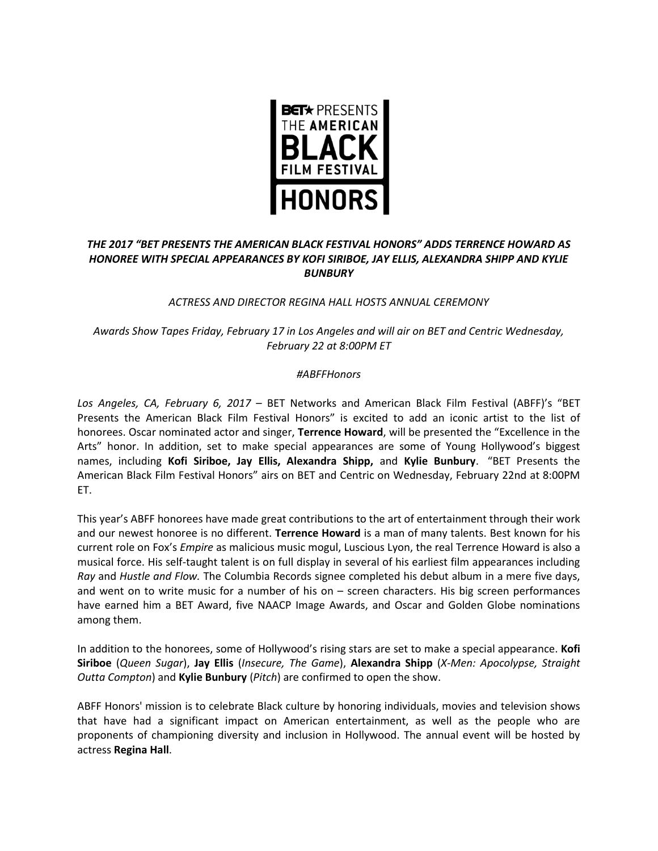

# *THE 2017 "BET PRESENTS THE AMERICAN BLACK FESTIVAL HONORS" ADDS TERRENCE HOWARD AS HONOREE WITH SPECIAL APPEARANCES BY KOFI SIRIBOE, JAY ELLIS, ALEXANDRA SHIPP AND KYLIE BUNBURY*

# *ACTRESS AND DIRECTOR REGINA HALL HOSTS ANNUAL CEREMONY*

*Awards Show Tapes Friday, February 17 in Los Angeles and will air on BET and Centric Wednesday, February 22 at 8:00PM ET*

### *#ABFFHonors*

*Los Angeles, CA, February 6, 2017* – BET Networks and American Black Film Festival (ABFF)'s "BET Presents the American Black Film Festival Honors" is excited to add an iconic artist to the list of honorees. Oscar nominated actor and singer, **Terrence Howard**, will be presented the "Excellence in the Arts" honor. In addition, set to make special appearances are some of Young Hollywood's biggest names, including **Kofi Siriboe, Jay Ellis, Alexandra Shipp,** and **Kylie Bunbury**. "BET Presents the American Black Film Festival Honors" airs on BET and Centric on Wednesday, February 22nd at 8:00PM ET.

This year's ABFF honorees have made great contributions to the art of entertainment through their work and our newest honoree is no different. **Terrence Howard** is a man of many talents. Best known for his current role on Fox's *Empire* as malicious music mogul, Luscious Lyon, the real Terrence Howard is also a musical force. His self-taught talent is on full display in several of his earliest film appearances including *Ray* and *Hustle and Flow.* The Columbia Records signee completed his debut album in a mere five days, and went on to write music for a number of his on – screen characters. His big screen performances have earned him a BET Award, five NAACP Image Awards, and Oscar and Golden Globe nominations among them.

In addition to the honorees, some of Hollywood's rising stars are set to make a special appearance. **Kofi Siriboe** (*Queen Sugar*), **Jay Ellis** (*Insecure, The Game*), **Alexandra Shipp** (*X-Men: Apocolypse, Straight Outta Compton*) and **Kylie Bunbury** (*Pitch*) are confirmed to open the show.

ABFF Honors' mission is to celebrate Black culture by honoring individuals, movies and television shows that have had a significant impact on American entertainment, as well as the people who are proponents of championing diversity and inclusion in Hollywood. The annual event will be hosted by actress **Regina Hall**.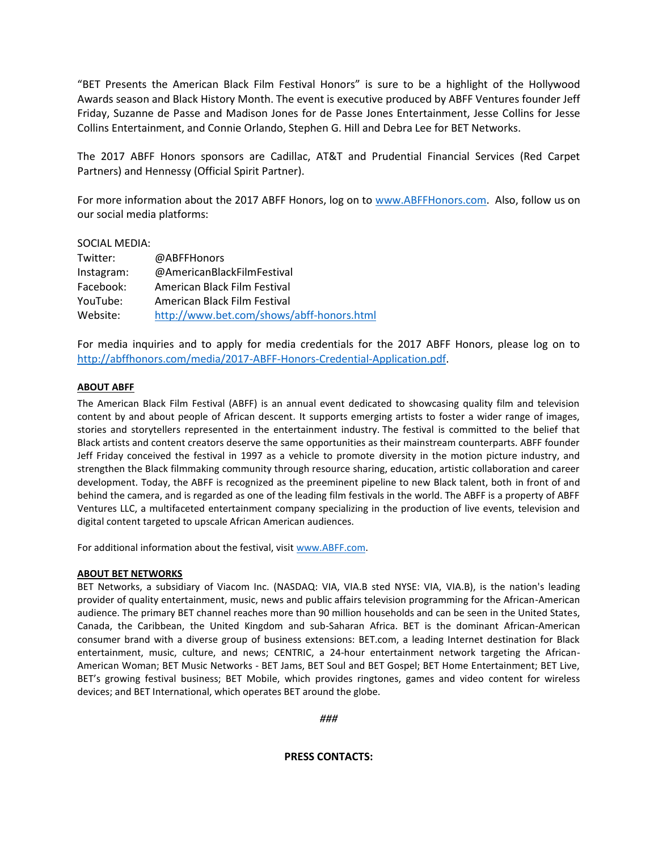"BET Presents the American Black Film Festival Honors" is sure to be a highlight of the Hollywood Awards season and Black History Month. The event is executive produced by ABFF Ventures founder Jeff Friday, Suzanne de Passe and Madison Jones for de Passe Jones Entertainment, Jesse Collins for Jesse Collins Entertainment, and Connie Orlando, Stephen G. Hill and Debra Lee for BET Networks.

The 2017 ABFF Honors sponsors are Cadillac, AT&T and Prudential Financial Services (Red Carpet Partners) and Hennessy (Official Spirit Partner).

For more information about the 2017 ABFF Honors, log on to [www.ABFFHonors.com.](http://www.abffhonors.com/) Also, follow us on our social media platforms:

### SOCIAL MEDIA:

| Twitter:   | @ABFFHonors                               |
|------------|-------------------------------------------|
| Instagram: | @AmericanBlackFilmFestival                |
| Facebook:  | American Black Film Festival              |
| YouTube:   | American Black Film Festival              |
| Website:   | http://www.bet.com/shows/abff-honors.html |

For media inquiries and to apply for media credentials for the 2017 ABFF Honors, please log on to [http://abffhonors.com/media/2017-ABFF-Honors-Credential-Application.pdf.](http://abffhonors.com/media/2017-ABFF-Honors-Credential-Application.pdf)

### **ABOUT ABFF**

The American Black Film Festival (ABFF) is an annual event dedicated to showcasing quality film and television content by and about people of African descent. It supports emerging artists to foster a wider range of images, stories and storytellers represented in the entertainment industry. The festival is committed to the belief that Black artists and content creators deserve the same opportunities as their mainstream counterparts. ABFF founder Jeff Friday conceived the festival in 1997 as a vehicle to promote diversity in the motion picture industry, and strengthen the Black filmmaking community through resource sharing, education, artistic collaboration and career development. Today, the ABFF is recognized as the preeminent pipeline to new Black talent, both in front of and behind the camera, and is regarded as one of the leading film festivals in the world. The ABFF is a property of ABFF Ventures LLC, a multifaceted entertainment company specializing in the production of live events, television and digital content targeted to upscale African American audiences.

For additional information about the festival, visit [www.ABFF.com.](http://www.abff.com/) 

#### **ABOUT BET NETWORKS**

BET Networks, a subsidiary of Viacom Inc. (NASDAQ: VIA, VIA.B sted NYSE: VIA, VIA.B), is the nation's leading provider of quality entertainment, music, news and public affairs television programming for the African-American audience. The primary BET channel reaches more than 90 million households and can be seen in the United States, Canada, the Caribbean, the United Kingdom and sub-Saharan Africa. BET is the dominant African-American consumer brand with a diverse group of business extensions: BET.com, a leading Internet destination for Black entertainment, music, culture, and news; CENTRIC, a 24-hour entertainment network targeting the African-American Woman; BET Music Networks - BET Jams, BET Soul and BET Gospel; BET Home Entertainment; BET Live, BET's growing festival business; BET Mobile, which provides ringtones, games and video content for wireless devices; and BET International, which operates BET around the globe.

*###*

**PRESS CONTACTS:**